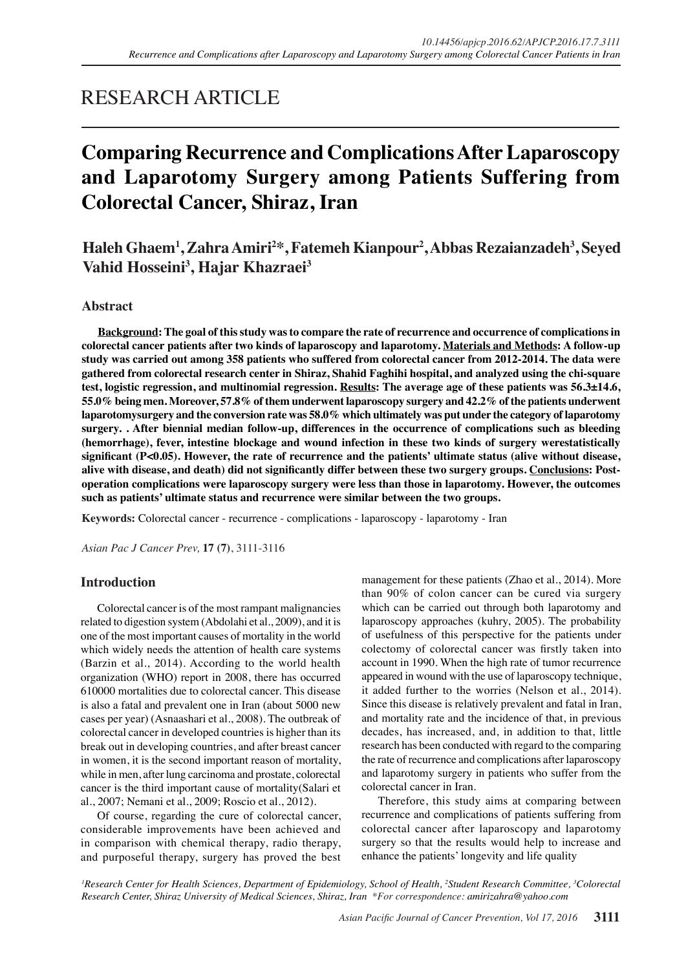# RESEARCH ARTICLE

# **Comparing Recurrence and Complications After Laparoscopy and Laparotomy Surgery among Patients Suffering from Colorectal Cancer, Shiraz, Iran**

**Haleh Ghaem<sup>1</sup> , Zahra Amiri2 \*, Fatemeh Kianpour2 , Abbas Rezaianzadeh3 , Seyed Vahid Hosseini<sup>3</sup> , Hajar Khazraei<sup>3</sup>**

# **Abstract**

**Background: The goal of this study was to compare the rate of recurrence and occurrence of complications in colorectal cancer patients after two kinds of laparoscopy and laparotomy. Materials and Methods: A follow-up study was carried out among 358 patients who suffered from colorectal cancer from 2012-2014. The data were gathered from colorectal research center in Shiraz, Shahid Faghihi hospital, and analyzed using the chi-square test, logistic regression, and multinomial regression. Results: The average age of these patients was 56.3±14.6, 55.0% being men. Moreover, 57.8% of them underwent laparoscopy surgery and 42.2% of the patients underwent laparotomysurgery and the conversion rate was 58.0% which ultimately was put under the category of laparotomy surgery. . After biennial median follow-up, differences in the occurrence of complications such as bleeding (hemorrhage), fever, intestine blockage and wound infection in these two kinds of surgery werestatistically significant (P<0.05). However, the rate of recurrence and the patients' ultimate status (alive without disease, alive with disease, and death) did not significantly differ between these two surgery groups. Conclusions: Postoperation complications were laparoscopy surgery were less than those in laparotomy. However, the outcomes such as patients' ultimate status and recurrence were similar between the two groups.**

**Keywords:** Colorectal cancer - recurrence - complications - laparoscopy - laparotomy - Iran

*Asian Pac J Cancer Prev,* **17 (7)**, 3111-3116

## **Introduction**

Colorectal cancer is of the most rampant malignancies related to digestion system (Abdolahi et al., 2009), and it is one of the most important causes of mortality in the world which widely needs the attention of health care systems (Barzin et al., 2014). According to the world health organization (WHO) report in 2008, there has occurred 610000 mortalities due to colorectal cancer. This disease is also a fatal and prevalent one in Iran (about 5000 new cases per year) (Asnaashari et al., 2008). The outbreak of colorectal cancer in developed countries is higher than its break out in developing countries, and after breast cancer in women, it is the second important reason of mortality, while in men, after lung carcinoma and prostate, colorectal cancer is the third important cause of mortality(Salari et al., 2007; Nemani et al., 2009; Roscio et al., 2012).

Of course, regarding the cure of colorectal cancer, considerable improvements have been achieved and in comparison with chemical therapy, radio therapy, and purposeful therapy, surgery has proved the best management for these patients (Zhao et al., 2014). More than 90% of colon cancer can be cured via surgery which can be carried out through both laparotomy and laparoscopy approaches (kuhry, 2005). The probability of usefulness of this perspective for the patients under colectomy of colorectal cancer was firstly taken into account in 1990. When the high rate of tumor recurrence appeared in wound with the use of laparoscopy technique, it added further to the worries (Nelson et al., 2014). Since this disease is relatively prevalent and fatal in Iran, and mortality rate and the incidence of that, in previous decades, has increased, and, in addition to that, little research has been conducted with regard to the comparing the rate of recurrence and complications after laparoscopy and laparotomy surgery in patients who suffer from the colorectal cancer in Iran.

Therefore, this study aims at comparing between recurrence and complications of patients suffering from colorectal cancer after laparoscopy and laparotomy surgery so that the results would help to increase and enhance the patients' longevity and life quality

*1 Research Center for Health Sciences, Department of Epidemiology, School of Health, 2 Student Research Committee, 3 Colorectal Research Center, Shiraz University of Medical Sciences, Shiraz, Iran \*For correspondence: amirizahra@yahoo.com*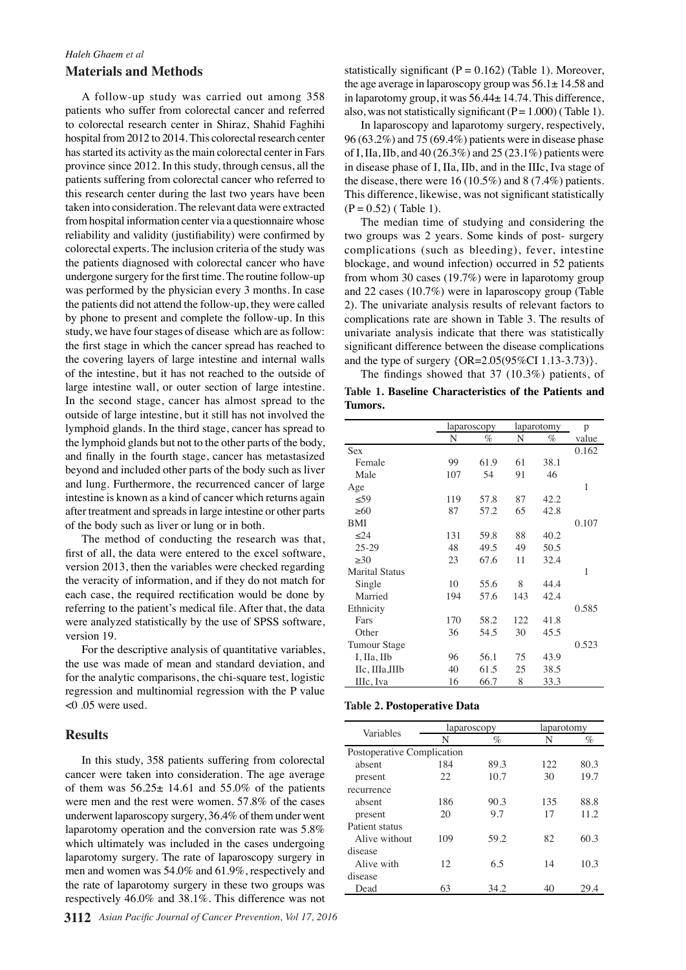# *Haleh Ghaem et al* **Materials and Methods**

A follow-up study was carried out among 358 patients who suffer from colorectal cancer and referred to colorectal research center in Shiraz, Shahid Faghihi hospital from 2012 to 2014. This colorectal research center has started its activity as the main colorectal center in Fars province since 2012. In this study, through census, all the patients suffering from colorectal cancer who referred to this research center during the last two years have been taken into consideration. The relevant data were extracted from hospital information center via a questionnaire whose reliability and validity (justifiability) were confirmed by colorectal experts. The inclusion criteria of the study was the patients diagnosed with colorectal cancer who have undergone surgery for the first time. The routine follow-up was performed by the physician every 3 months. In case the patients did not attend the follow-up, they were called by phone to present and complete the follow-up. In this study, we have four stages of disease which are as follow: the first stage in which the cancer spread has reached to the covering layers of large intestine and internal walls of the intestine, but it has not reached to the outside of large intestine wall, or outer section of large intestine. In the second stage, cancer has almost spread to the outside of large intestine, but it still has not involved the lymphoid glands. In the third stage, cancer has spread to the lymphoid glands but not to the other parts of the body, and finally in the fourth stage, cancer has metastasized beyond and included other parts of the body such as liver and lung. Furthermore, the recurrenced cancer of large intestine is known as a kind of cancer which returns again after treatment and spreads in large intestine or other parts of the body such as liver or lung or in both.

The method of conducting the research was that, first of all, the data were entered to the excel software, version 2013, then the variables were checked regarding the veracity of information, and if they do not match for each case, the required rectification would be done by referring to the patient's medical file. After that, the data were analyzed statistically by the use of SPSS software, version 19.

For the descriptive analysis of quantitative variables, the use was made of mean and standard deviation, and for the analytic comparisons, the chi-square test, logistic regression and multinomial regression with the P value <0 .05 were used.

## **Results**

In this study, 358 patients suffering from colorectal cancer were taken into consideration. The age average of them was  $56.25 \pm 14.61$  and  $55.0\%$  of the patients were men and the rest were women. 57.8% of the cases underwent laparoscopy surgery, 36.4% of them under went laparotomy operation and the conversion rate was 5.8% which ultimately was included in the cases undergoing laparotomy surgery. The rate of laparoscopy surgery in men and women was 54.0% and 61.9%, respectively and the rate of laparotomy surgery in these two groups was respectively 46.0% and 38.1%. This difference was not

statistically significant ( $P = 0.162$ ) (Table 1). Moreover, the age average in laparoscopy group was  $56.1 \pm 14.58$  and in laparotomy group, it was 56.44± 14.74. This difference, also, was not statistically significant  $(P = 1.000)$  (Table 1).

In laparoscopy and laparotomy surgery, respectively, 96 (63.2%) and 75 (69.4%) patients were in disease phase of I, IIa, IIb, and 40 (26.3%) and 25 (23.1%) patients were in disease phase of I, IIa, IIb, and in the IIIc, Iva stage of the disease, there were 16 (10.5%) and 8 (7.4%) patients. This difference, likewise, was not significant statistically  $(P = 0.52)$  (Table 1).

The median time of studying and considering the two groups was 2 years. Some kinds of post- surgery complications (such as bleeding), fever, intestine blockage, and wound infection) occurred in 52 patients from whom 30 cases (19.7%) were in laparotomy group and 22 cases (10.7%) were in laparoscopy group (Table 2). The univariate analysis results of relevant factors to complications rate are shown in Table 3. The results of univariate analysis indicate that there was statistically significant difference between the disease complications and the type of surgery {OR=2.05(95%CI 1.13-3.73)}.

The findings showed that 37 (10.3%) patients, of **Table 1. Baseline Characteristics of the Patients and Tumors.**

|                       |     | laparoscopy |     | laparotomy |            |
|-----------------------|-----|-------------|-----|------------|------------|
|                       | N   | %           | N   | $\%$       | p<br>value |
| <b>Sex</b>            |     |             |     |            | 0.162      |
| Female                | 99  | 61.9        | 61  | 38.1       |            |
| Male                  | 107 | 54          | 91  | 46         |            |
| Age                   |     |             |     |            | 1          |
| $\leq 59$             | 119 | 57.8        | 87  | 42.2       |            |
| >60                   | 87  | 57.2        | 65  | 42.8       |            |
| BMI                   |     |             |     |            | 0.107      |
| < 24                  | 131 | 59.8        | 88  | 40.2       |            |
| $25 - 29$             | 48  | 49.5        | 49  | 50.5       |            |
| >30                   | 23  | 67.6        | 11  | 32.4       |            |
| <b>Marital Status</b> |     |             |     |            | 1          |
| Single                | 10  | 55.6        | 8   | 44.4       |            |
| Married               | 194 | 57.6        | 143 | 42.4       |            |
| Ethnicity             |     |             |     |            | 0.585      |
| Fars                  | 170 | 58.2        | 122 | 41.8       |            |
| Other                 | 36  | 54.5        | 30  | 45.5       |            |
| <b>Tumour Stage</b>   |     |             |     |            | 0.523      |
| I, IIa, IIb           | 96  | 56.1        | 75  | 43.9       |            |
| IIc, IIIa,IIIb        | 40  | 61.5        | 25  | 38.5       |            |
| IIIc, Iva             | 16  | 66.7        | 8   | 33.3       |            |

### **Table 2. Postoperative Data**

| Variables                  |     | laparoscopy | laparotomy |       |  |
|----------------------------|-----|-------------|------------|-------|--|
|                            | N   | %           | N          | %     |  |
| Postoperative Complication |     |             |            |       |  |
| absent                     | 184 | 89.3        | 122        | 80.3  |  |
| present                    | 22. | 10.7        | 30         | 19.7  |  |
| recurrence                 |     |             |            |       |  |
| absent                     | 186 | 90.3        | 135        | 88.8  |  |
| present                    | 20  | 9.7         | 17         | 11.2. |  |
| Patient status             |     |             |            |       |  |
| Alive without              | 109 | 59.2        | 82         | 60.3  |  |
| disease                    |     |             |            |       |  |
| Alive with                 | 12  | 6.5         | 14         | 10.3  |  |
| disease                    |     |             |            |       |  |
| Dead                       | 63  | 34.2        | 40         | 29.4  |  |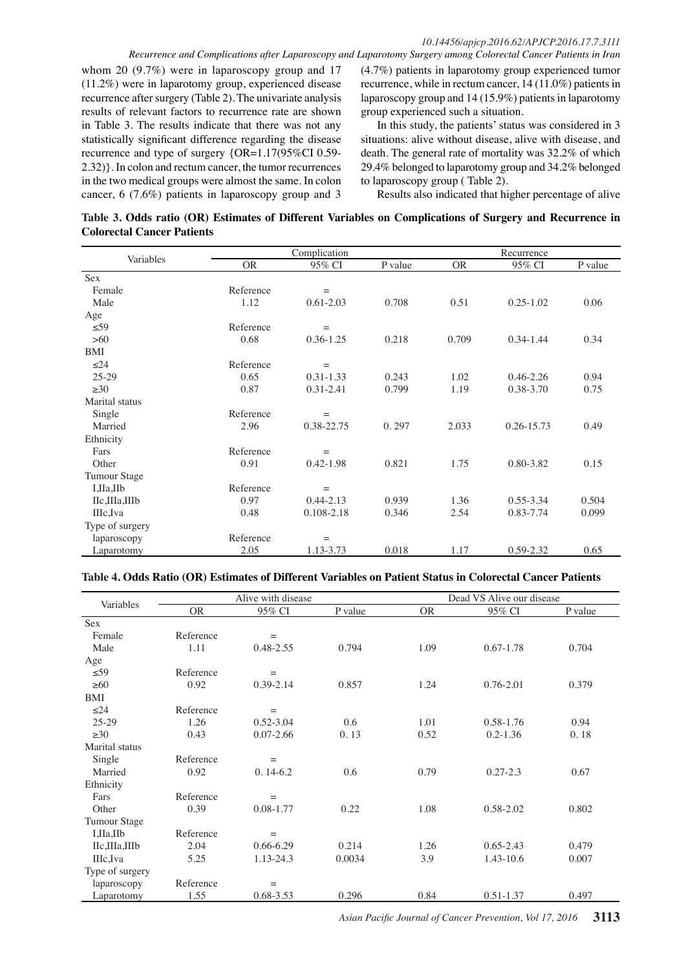whom 20 (9.7%) were in laparoscopy group and 17 (11.2%) were in laparotomy group, experienced disease recurrence after surgery (Table 2). The univariate analysis results of relevant factors to recurrence rate are shown in Table 3. The results indicate that there was not any statistically significant difference regarding the disease recurrence and type of surgery {OR=1.17(95%CI 0.59- 2.32)}. In colon and rectum cancer, the tumor recurrences in the two medical groups were almost the same. In colon cancer, 6 (7.6%) patients in laparoscopy group and 3

(4.7%) patients in laparotomy group experienced tumor recurrence, while in rectum cancer, 14 (11.0%) patients in laparoscopy group and 14 (15.9%) patients in laparotomy group experienced such a situation.

In this study, the patients' status was considered in 3 situations: alive without disease, alive with disease, and death. The general rate of mortality was 32.2% of which 29.4% belonged to laparotomy group and 34.2% belonged to laparoscopy group ( Table 2).

Results also indicated that higher percentage of alive

# **Table 3. Odds ratio (OR) Estimates of Different Variables on Complications of Surgery and Recurrence in Colorectal Cancer Patients**

|                     |           | Complication  | Recurrence |           |                |         |
|---------------------|-----------|---------------|------------|-----------|----------------|---------|
| Variables           | <b>OR</b> | 95% CI        | P value    | <b>OR</b> | 95% CI         | P value |
| Sex                 |           |               |            |           |                |         |
| Female              | Reference | $=$           |            |           |                |         |
| Male                | 1.12      | $0.61 - 2.03$ | 0.708      | 0.51      | $0.25 - 1.02$  | 0.06    |
| Age                 |           |               |            |           |                |         |
| $\leq 59$           | Reference | $=$           |            |           |                |         |
| $>60$               | 0.68      | $0.36 - 1.25$ | 0.218      | 0.709     | $0.34 - 1.44$  | 0.34    |
| BMI                 |           |               |            |           |                |         |
| $\leq$ 24           | Reference | $=$           |            |           |                |         |
| $25 - 29$           | 0.65      | $0.31 - 1.33$ | 0.243      | 1.02      | $0.46 - 2.26$  | 0.94    |
| $\geq 30$           | 0.87      | 0.31-2.41     | 0.799      | 1.19      | 0.38-3.70      | 0.75    |
| Marital status      |           |               |            |           |                |         |
| Single              | Reference | $=$           |            |           |                |         |
| Married             | 2.96      | 0.38-22.75    | 0.297      | 2.033     | $0.26 - 15.73$ | 0.49    |
| Ethnicity           |           |               |            |           |                |         |
| Fars                | Reference | $=$           |            |           |                |         |
| Other               | 0.91      | $0.42 - 1.98$ | 0.821      | 1.75      | 0.80-3.82      | 0.15    |
| <b>Tumour Stage</b> |           |               |            |           |                |         |
| I,IIa,IIb           | Reference | $=$           |            |           |                |         |
| IIc,IIIa,IIIb       | 0.97      | $0.44 - 2.13$ | 0.939      | 1.36      | 0.55-3.34      | 0.504   |
| IIIc,Iva            | 0.48      | 0.108-2.18    | 0.346      | 2.54      | 0.83-7.74      | 0.099   |
| Type of surgery     |           |               |            |           |                |         |
| laparoscopy         | Reference | $=$           |            |           |                |         |
| Laparotomy          | 2.05      | 1.13-3.73     | 0.018      | 1.17      | 0.59-2.32      | 0.65    |

## **Table 4. Odds Ratio (OR) Estimates of Different Variables on Patient Status in Colorectal Cancer Patients**

| Variables           |           | Alive with disease |         |           | Dead VS Alive our disease |         |
|---------------------|-----------|--------------------|---------|-----------|---------------------------|---------|
|                     | <b>OR</b> | 95% CI             | P value | <b>OR</b> | 95% CI                    | P value |
| <b>Sex</b>          |           |                    |         |           |                           |         |
| Female              | Reference | $\qquad \qquad =$  |         |           |                           |         |
| Male                | 1.11      | 0.48-2.55          | 0.794   | 1.09      | $0.67 - 1.78$             | 0.704   |
| Age                 |           |                    |         |           |                           |         |
| $\leq 59$           | Reference | $=$                |         |           |                           |         |
| $\geq 60$           | 0.92      | $0.39 - 2.14$      | 0.857   | 1.24      | 0.76-2.01                 | 0.379   |
| <b>BMI</b>          |           |                    |         |           |                           |         |
| $\leq$ 24           | Reference | $=$                |         |           |                           |         |
| $25-29$             | 1.26      | $0.52 - 3.04$      | 0.6     | 1.01      | 0.58-1.76                 | 0.94    |
| $\geq 30$           | 0.43      | $0.07 - 2.66$      | 0.13    | 0.52      | $0.2 - 1.36$              | 0.18    |
| Marital status      |           |                    |         |           |                           |         |
| Single              | Reference | $=$                |         |           |                           |         |
| Married             | 0.92      | $0.14-6.2$         | 0.6     | 0.79      | $0.27 - 2.3$              | 0.67    |
| Ethnicity           |           |                    |         |           |                           |         |
| Fars                | Reference | $=$                |         |           |                           |         |
| Other               | 0.39      | 0.08-1.77          | 0.22    | 1.08      | 0.58-2.02                 | 0.802   |
| <b>Tumour Stage</b> |           |                    |         |           |                           |         |
| I,IIa,IIb           | Reference | $=$                |         |           |                           |         |
| IIc,IIIa,IIIb       | 2.04      | $0.66 - 6.29$      | 0.214   | 1.26      | $0.65 - 2.43$             | 0.479   |
| IIIc,Iva            | 5.25      | 1.13-24.3          | 0.0034  | 3.9       | 1.43-10.6                 | 0.007   |
| Type of surgery     |           |                    |         |           |                           |         |
| laparoscopy         | Reference | $\equiv$           |         |           |                           |         |
| Laparotomy          | 1.55      | 0.68-3.53          | 0.296   | 0.84      | 0.51-1.37                 | 0.497   |

*Asian Pacific Journal of Cancer Prevention, Vol 17, 2016* **3113**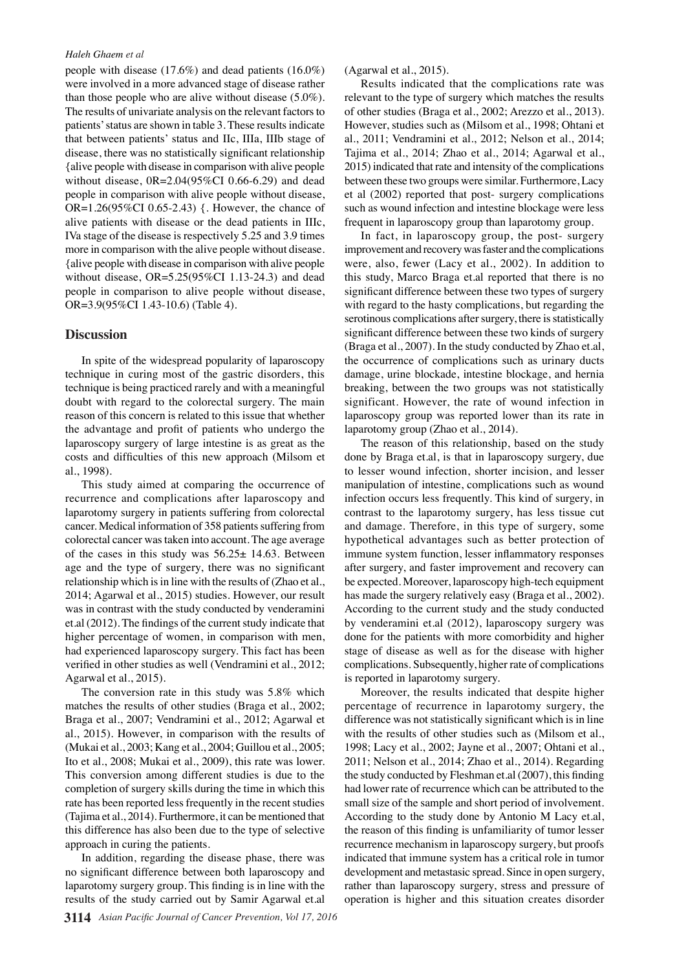#### *Haleh Ghaem et al*

people with disease (17.6%) and dead patients (16.0%) were involved in a more advanced stage of disease rather than those people who are alive without disease (5.0%). The results of univariate analysis on the relevant factors to patients' status are shown in table 3. These results indicate that between patients' status and IIc, IIIa, IIIb stage of disease, there was no statistically significant relationship {alive people with disease in comparison with alive people without disease, 0R=2.04(95%CI 0.66-6.29) and dead people in comparison with alive people without disease, OR=1.26(95%CI 0.65-2.43) {. However, the chance of alive patients with disease or the dead patients in IIIc, IVa stage of the disease is respectively 5.25 and 3.9 times more in comparison with the alive people without disease. {alive people with disease in comparison with alive people without disease, OR=5.25(95%CI 1.13-24.3) and dead people in comparison to alive people without disease, OR=3.9(95%CI 1.43-10.6) (Table 4).

### **Discussion**

In spite of the widespread popularity of laparoscopy technique in curing most of the gastric disorders, this technique is being practiced rarely and with a meaningful doubt with regard to the colorectal surgery. The main reason of this concern is related to this issue that whether the advantage and profit of patients who undergo the laparoscopy surgery of large intestine is as great as the costs and difficulties of this new approach (Milsom et al., 1998).

This study aimed at comparing the occurrence of recurrence and complications after laparoscopy and laparotomy surgery in patients suffering from colorectal cancer. Medical information of 358 patients suffering from colorectal cancer was taken into account. The age average of the cases in this study was 56.25± 14.63. Between age and the type of surgery, there was no significant relationship which is in line with the results of (Zhao et al., 2014; Agarwal et al., 2015) studies. However, our result was in contrast with the study conducted by venderamini et.al (2012). The findings of the current study indicate that higher percentage of women, in comparison with men, had experienced laparoscopy surgery. This fact has been verified in other studies as well (Vendramini et al., 2012; Agarwal et al., 2015).

The conversion rate in this study was 5.8% which matches the results of other studies (Braga et al., 2002; Braga et al., 2007; Vendramini et al., 2012; Agarwal et al., 2015). However, in comparison with the results of (Mukai et al., 2003; Kang et al., 2004; Guillou et al., 2005; Ito et al., 2008; Mukai et al., 2009), this rate was lower. This conversion among different studies is due to the completion of surgery skills during the time in which this rate has been reported less frequently in the recent studies (Tajima et al., 2014). Furthermore, it can be mentioned that this difference has also been due to the type of selective approach in curing the patients.

In addition, regarding the disease phase, there was no significant difference between both laparoscopy and laparotomy surgery group. This finding is in line with the results of the study carried out by Samir Agarwal et.al (Agarwal et al., 2015).

Results indicated that the complications rate was relevant to the type of surgery which matches the results of other studies (Braga et al., 2002; Arezzo et al., 2013). However, studies such as (Milsom et al., 1998; Ohtani et al., 2011; Vendramini et al., 2012; Nelson et al., 2014; Tajima et al., 2014; Zhao et al., 2014; Agarwal et al., 2015) indicated that rate and intensity of the complications between these two groups were similar. Furthermore, Lacy et al (2002) reported that post- surgery complications such as wound infection and intestine blockage were less frequent in laparoscopy group than laparotomy group.

In fact, in laparoscopy group, the post- surgery improvement and recovery was faster and the complications were, also, fewer (Lacy et al., 2002). In addition to this study, Marco Braga et.al reported that there is no significant difference between these two types of surgery with regard to the hasty complications, but regarding the serotinous complications after surgery, there is statistically significant difference between these two kinds of surgery (Braga et al., 2007). In the study conducted by Zhao et.al, the occurrence of complications such as urinary ducts damage, urine blockade, intestine blockage, and hernia breaking, between the two groups was not statistically significant. However, the rate of wound infection in laparoscopy group was reported lower than its rate in laparotomy group (Zhao et al., 2014).

The reason of this relationship, based on the study done by Braga et.al, is that in laparoscopy surgery, due to lesser wound infection, shorter incision, and lesser manipulation of intestine, complications such as wound infection occurs less frequently. This kind of surgery, in contrast to the laparotomy surgery, has less tissue cut and damage. Therefore, in this type of surgery, some hypothetical advantages such as better protection of immune system function, lesser inflammatory responses after surgery, and faster improvement and recovery can be expected. Moreover, laparoscopy high-tech equipment has made the surgery relatively easy (Braga et al., 2002). According to the current study and the study conducted by venderamini et.al (2012), laparoscopy surgery was done for the patients with more comorbidity and higher stage of disease as well as for the disease with higher complications. Subsequently, higher rate of complications is reported in laparotomy surgery.

Moreover, the results indicated that despite higher percentage of recurrence in laparotomy surgery, the difference was not statistically significant which is in line with the results of other studies such as (Milsom et al., 1998; Lacy et al., 2002; Jayne et al., 2007; Ohtani et al., 2011; Nelson et al., 2014; Zhao et al., 2014). Regarding the study conducted by Fleshman et.al (2007), this finding had lower rate of recurrence which can be attributed to the small size of the sample and short period of involvement. According to the study done by Antonio M Lacy et.al, the reason of this finding is unfamiliarity of tumor lesser recurrence mechanism in laparoscopy surgery, but proofs indicated that immune system has a critical role in tumor development and metastasic spread. Since in open surgery, rather than laparoscopy surgery, stress and pressure of operation is higher and this situation creates disorder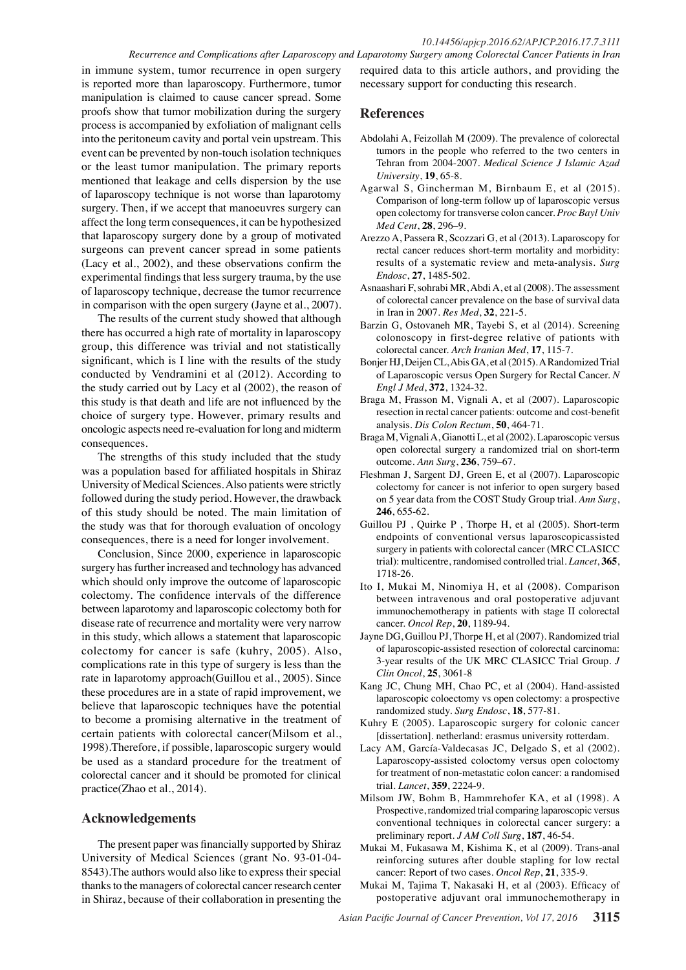#### *10.14456/apjcp.2016.62/APJCP.2016.17.7.3111 Recurrence and Complications after Laparoscopy and Laparotomy Surgery among Colorectal Cancer Patients in Iran*

in immune system, tumor recurrence in open surgery is reported more than laparoscopy. Furthermore, tumor manipulation is claimed to cause cancer spread. Some proofs show that tumor mobilization during the surgery process is accompanied by exfoliation of malignant cells into the peritoneum cavity and portal vein upstream. This event can be prevented by non-touch isolation techniques or the least tumor manipulation. The primary reports mentioned that leakage and cells dispersion by the use of laparoscopy technique is not worse than laparotomy surgery. Then, if we accept that manoeuvres surgery can affect the long term consequences, it can be hypothesized that laparoscopy surgery done by a group of motivated surgeons can prevent cancer spread in some patients (Lacy et al., 2002), and these observations confirm the experimental findings that less surgery trauma, by the use of laparoscopy technique, decrease the tumor recurrence in comparison with the open surgery (Jayne et al., 2007).

The results of the current study showed that although there has occurred a high rate of mortality in laparoscopy group, this difference was trivial and not statistically significant, which is I line with the results of the study conducted by Vendramini et al (2012). According to the study carried out by Lacy et al (2002), the reason of this study is that death and life are not influenced by the choice of surgery type. However, primary results and oncologic aspects need re-evaluation for long and midterm consequences.

The strengths of this study included that the study was a population based for affiliated hospitals in Shiraz University of Medical Sciences. Also patients were strictly followed during the study period. However, the drawback of this study should be noted. The main limitation of the study was that for thorough evaluation of oncology consequences, there is a need for longer involvement.

Conclusion, Since 2000, experience in laparoscopic surgery has further increased and technology has advanced which should only improve the outcome of laparoscopic colectomy. The confidence intervals of the difference between laparotomy and laparoscopic colectomy both for disease rate of recurrence and mortality were very narrow in this study, which allows a statement that laparoscopic colectomy for cancer is safe (kuhry, 2005). Also, complications rate in this type of surgery is less than the rate in laparotomy approach(Guillou et al., 2005). Since these procedures are in a state of rapid improvement, we believe that laparoscopic techniques have the potential to become a promising alternative in the treatment of certain patients with colorectal cancer(Milsom et al., 1998).Therefore, if possible, laparoscopic surgery would be used as a standard procedure for the treatment of colorectal cancer and it should be promoted for clinical practice(Zhao et al., 2014).

## **Acknowledgements**

The present paper was financially supported by Shiraz University of Medical Sciences (grant No. 93-01-04- 8543).The authors would also like to express their special thanks to the managers of colorectal cancer research center in Shiraz, because of their collaboration in presenting the required data to this article authors, and providing the necessary support for conducting this research.

## **References**

- Abdolahi A, Feizollah M (2009). The prevalence of colorectal tumors in the people who referred to the two centers in Tehran from 2004-2007. *Medical Science J Islamic Azad University*, **19**, 65-8.
- Agarwal S, Gincherman M, Birnbaum E, et al (2015). Comparison of long-term follow up of laparoscopic versus open colectomy for transverse colon cancer. *Proc Bayl Univ Med Cent*, **28**, 296–9.
- Arezzo A, Passera R, Scozzari G, et al (2013). Laparoscopy for rectal cancer reduces short-term mortality and morbidity: results of a systematic review and meta-analysis. *Surg Endosc*, **27**, 1485-502.
- Asnaashari F, sohrabi MR, Abdi A, et al (2008). The assessment of colorectal cancer prevalence on the base of survival data in Iran in 2007. *Res Med*, **32**, 221-5.
- Barzin G, Ostovaneh MR, Tayebi S, et al (2014). Screening colonoscopy in first-degree relative of pationts with colorectal cancer. *Arch Iranian Med*, **17**, 115-7.
- Bonjer HJ, Deijen CL, Abis GA, et al (2015). A Randomized Trial of Laparoscopic versus Open Surgery for Rectal Cancer. *N Engl J Med*, **372**, 1324-32.
- Braga M, Frasson M, Vignali A, et al (2007). Laparoscopic resection in rectal cancer patients: outcome and cost-benefit analysis. *Dis Colon Rectum*, **50**, 464-71.
- Braga M, Vignali A, Gianotti L, et al (2002). Laparoscopic versus open colorectal surgery a randomized trial on short-term outcome. *Ann Surg*, **236**, 759–67.
- Fleshman J, Sargent DJ, Green E, et al (2007). Laparoscopic colectomy for cancer is not inferior to open surgery based on 5 year data from the COST Study Group trial. *Ann Surg*, **246**, 655-62.
- Guillou PJ , Quirke P , Thorpe H, et al (2005). Short-term endpoints of conventional versus laparoscopicassisted surgery in patients with colorectal cancer (MRC CLASICC trial): multicentre, randomised controlled trial. *Lancet*, **365**, 1718-26.
- Ito I, Mukai M, Ninomiya H, et al (2008). Comparison between intravenous and oral postoperative adjuvant immunochemotherapy in patients with stage II colorectal cancer. *Oncol Rep*, **20**, 1189-94.
- Jayne DG, Guillou PJ, Thorpe H, et al (2007). Randomized trial of laparoscopic-assisted resection of colorectal carcinoma: 3-year results of the UK MRC CLASICC Trial Group. *J Clin Oncol*, **25**, 3061-8
- Kang JC, Chung MH, Chao PC, et al (2004). Hand-assisted laparoscopic coloectomy vs open colectomy: a prospective randomized study. *Surg Endosc*, **18**, 577-81.
- Kuhry E (2005). Laparoscopic surgery for colonic cancer [dissertation]. netherland: erasmus university rotterdam.
- Lacy AM, García-Valdecasas JC, Delgado S, et al (2002). Laparoscopy-assisted coloctomy versus open coloctomy for treatment of non-metastatic colon cancer: a randomised trial. *Lancet*, **359**, 2224-9.
- Milsom JW, Bohm B, Hammrehofer KA, et al (1998). A Prospective, randomized trial comparing laparoscopic versus conventional techniques in colorectal cancer surgery: a preliminary report. *J AM Coll Surg*, **187**, 46-54.
- Mukai M, Fukasawa M, Kishima K, et al (2009). Trans-anal reinforcing sutures after double stapling for low rectal cancer: Report of two cases. *Oncol Rep*, **21**, 335-9.
- Mukai M, Tajima T, Nakasaki H, et al (2003). Efficacy of postoperative adjuvant oral immunochemotherapy in